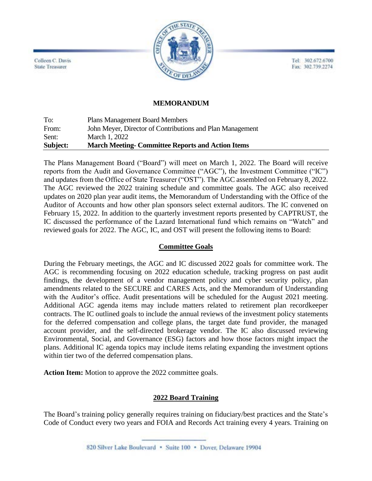Tel: 302.672.6700 Fax: 302.739.2274



Colleen C. Davis **State Treasurer** 

#### **MEMORANDUM**

To: Plans Management Board Members From: John Meyer, Director of Contributions and Plan Management Sent: March 1, 2022 **Subject: March Meeting- Committee Reports and Action Items**

The Plans Management Board ("Board") will meet on March 1, 2022. The Board will receive reports from the Audit and Governance Committee ("AGC"), the Investment Committee ("IC") and updates from the Office of State Treasurer ("OST"). The AGC assembled on February 8, 2022. The AGC reviewed the 2022 training schedule and committee goals. The AGC also received updates on 2020 plan year audit items, the Memorandum of Understanding with the Office of the Auditor of Accounts and how other plan sponsors select external auditors. The IC convened on February 15, 2022. In addition to the quarterly investment reports presented by CAPTRUST, the IC discussed the performance of the Lazard International fund which remains on "Watch" and reviewed goals for 2022. The AGC, IC, and OST will present the following items to Board:

### **Committee Goals**

During the February meetings, the AGC and IC discussed 2022 goals for committee work. The AGC is recommending focusing on 2022 education schedule, tracking progress on past audit findings, the development of a vendor management policy and cyber security policy, plan amendments related to the SECURE and CARES Acts, and the Memorandum of Understanding with the Auditor's office. Audit presentations will be scheduled for the August 2021 meeting. Additional AGC agenda items may include matters related to retirement plan recordkeeper contracts. The IC outlined goals to include the annual reviews of the investment policy statements for the deferred compensation and college plans, the target date fund provider, the managed account provider, and the self-directed brokerage vendor. The IC also discussed reviewing Environmental, Social, and Governance (ESG) factors and how those factors might impact the plans. Additional IC agenda topics may include items relating expanding the investment options within tier two of the deferred compensation plans.

**Action Item:** Motion to approve the 2022 committee goals.

### **2022 Board Training**

The Board's training policy generally requires training on fiduciary/best practices and the State's Code of Conduct every two years and FOIA and Records Act training every 4 years. Training on